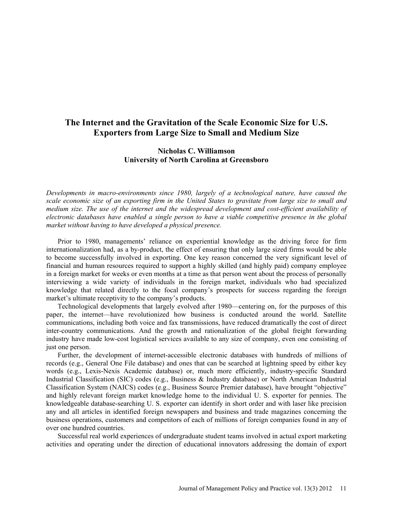## **The Internet and the Gravitation of the Scale Economic Size for U.S. Exporters from Large Size to Small and Medium Size**

## **Nicholas C. Williamson University of North Carolina at Greensboro**

*Developments in macro-environments since 1980, largely of a technological nature, have caused the scale economic size of an exporting firm in the United States to gravitate from large size to small and medium size. The use of the internet and the widespread development and cost-efficient availability of electronic databases have enabled a single person to have a viable competitive presence in the global market without having to have developed a physical presence.* 

Prior to 1980, managements' reliance on experiential knowledge as the driving force for firm internationalization had, as a by-product, the effect of ensuring that only large sized firms would be able to become successfully involved in exporting. One key reason concerned the very significant level of financial and human resources required to support a highly skilled (and highly paid) company employee in a foreign market for weeks or even months at a time as that person went about the process of personally interviewing a wide variety of individuals in the foreign market, individuals who had specialized knowledge that related directly to the focal company's prospects for success regarding the foreign market's ultimate receptivity to the company's products.

Technological developments that largely evolved after 1980—centering on, for the purposes of this paper, the internet—have revolutionized how business is conducted around the world. Satellite communications, including both voice and fax transmissions, have reduced dramatically the cost of direct inter-country communications. And the growth and rationalization of the global freight forwarding industry have made low-cost logistical services available to any size of company, even one consisting of just one person.

Further, the development of internet-accessible electronic databases with hundreds of millions of records (e.g., General One File database) and ones that can be searched at lightning speed by either key words (e.g., Lexis-Nexis Academic database) or, much more efficiently, industry-specific Standard Industrial Classification (SIC) codes (e.g., Business & Industry database) or North American Industrial Classification System (NAICS) codes (e.g., Business Source Premier database), have brought "objective" and highly relevant foreign market knowledge home to the individual U. S. exporter for pennies. The knowledgeable database-searching U. S. exporter can identify in short order and with laser like precision any and all articles in identified foreign newspapers and business and trade magazines concerning the business operations, customers and competitors of each of millions of foreign companies found in any of over one hundred countries.

Successful real world experiences of undergraduate student teams involved in actual export marketing activities and operating under the direction of educational innovators addressing the domain of export